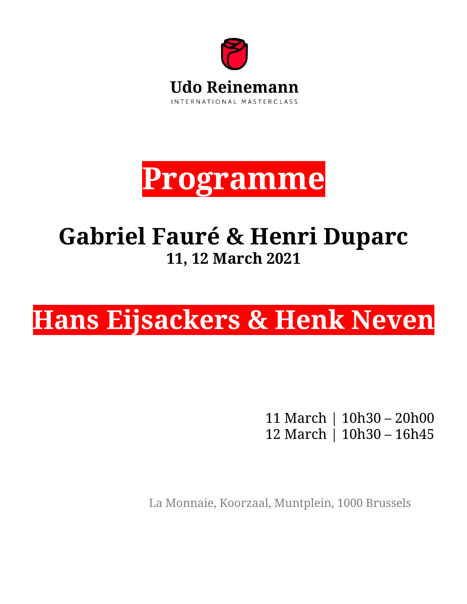



# **Gabriel Fauré & Henri Duparc 11, 12 March 2021**

# **Hans Eijsackers & Henk Neven**

11 March | 10h30 – 20h00 12 March | 10h30 – 16h45

La Monnaie, Koorzaal, Muntplein, 1000 Brussels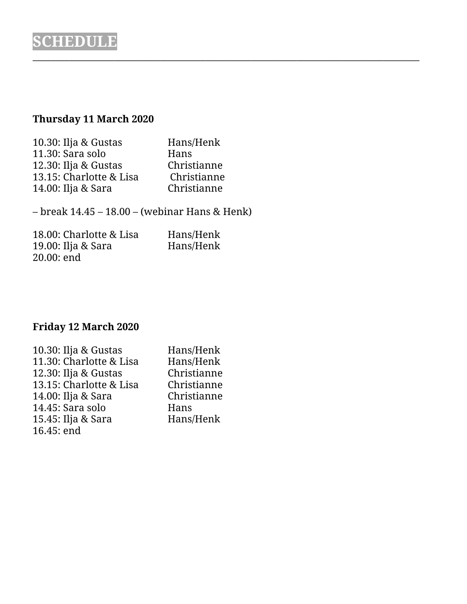# **Thursday 11 March 2020**

| Hans/Henk   |
|-------------|
| Hans        |
| Christianne |
| Christianne |
| Christianne |
|             |

– break 14.45 – 18.00 – (webinar Hans & Henk)

 $\_$  , and the set of the set of the set of the set of the set of the set of the set of the set of the set of the set of the set of the set of the set of the set of the set of the set of the set of the set of the set of th

| 18.00: Charlotte & Lisa | Hans/Henk |
|-------------------------|-----------|
| 19.00: Ilja & Sara      | Hans/Henk |
| 20.00: end              |           |

## **Friday 12 March 2020**

| 10.30: Ilja & Gustas    | Hans/Henk   |
|-------------------------|-------------|
| 11.30: Charlotte & Lisa | Hans/Henk   |
| 12.30: Ilja & Gustas    | Christianne |
| 13.15: Charlotte & Lisa | Christianne |
| 14.00: Ilja & Sara      | Christianne |
| 14.45: Sara solo        | Hans        |
| 15.45: Ilja & Sara      | Hans/Henk   |
| 16.45: end              |             |